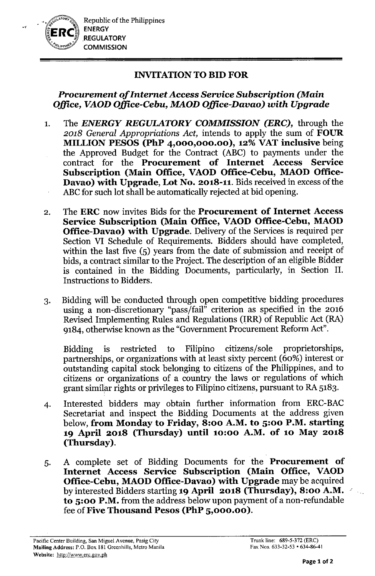Republic of the Philippines **ENERGY REGULATORY COMMISSION** 

*". :J*

# INVITATIONTO BID FOR

# *Procurement of Internet Access Service Subscription (Main OjJice, VAOD OjJice-Cebu, MAOD OjJice-Davao) with Upgrade*

- 1. The *ENERGY REGULATORY COMMISSION (ERC),* through the *2018 General Appropriations Act,* intends to apply the sum of FOUR MILLION PESOS (PhP 4,000,000.00), 12% VAT inclusive being the Approved Budget for the Contract (ABC) to payments under the contract for the Procurement of Internet Access Service Subscription (Main Office, VAOD Office-Cebu, MAOD Office-Davao) with Upgrade, Lot No. 2018-11. Bids received in excess of the ABC for such lot shall be automatically rejected at bid opening.
- 2. The ERC now invites Bids for the Procurement of Internet Access Service Subscription (Main Office, VAOD Office-Cebu, MAOD Office-Davao) with Upgrade. Delivery of the Services is required per Section VI Schedule of Requirements. Bidders should have completed, within the last five (5) years from the date of submission and receipt of bids, a contract similar to the Project. The description of an eligible Bidder is contained in the Bidding Documents, particularly, in Section II. Instructions to Bidders.
- 3. Bidding will be conducted through open competitive bidding procedures using a non-discretionary "pass/fail" criterion as specified in the 2016 Revised Implementing Rules and Regulations (IRR) of Republic Act (RA) 9184, otherwise known as the "Government Procurement Reform Act".

Bidding is restricted to Filipino citizens/sole proprietorships, partnerships, or organizations with at least sixty percent (60%) interest or outstanding capital stock belonging to citizens of the Philippines, and to citizens or organizations of a country the laws or regulations of which grant similar rights or privileges to Filipino citizens, pursuant to RA 5183.  $\,$ 

- 4. Interested bidders may obtain further information from ERC-BAC Secretariat and inspect the Bidding Documents at the address given below, from Monday to Friday, 8:00 A.M. to 5:00 P.M. starting 19 April 2018 (Thursday) until 10:00 A.M. of 10 May 2018 (Thursday).
- 5. A complete set of Bidding Documents for the Procurement of Internet Access Service Subscription (Main Office, VAOD Office-Cebu, MAOD Office-Davao) with Upgrade may be acquired by interested Bidders starting 19 April 2018 (Thursday), 8:00 A.M. to 5:00 P.M. from the address below upon payment of a non-refundable fee of Five Thousand Pesos (PhP 5,000.00).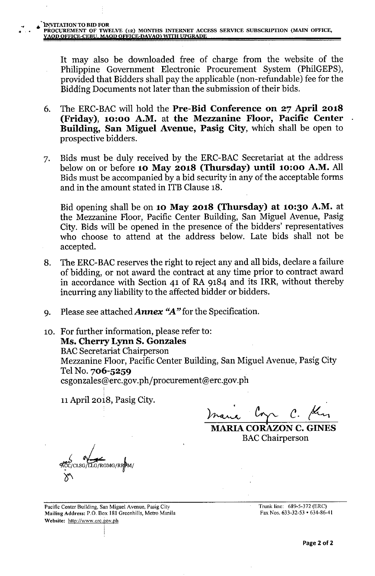It may also be downloaded free of charge from the website of the Philippine Government Electronic Procurement System (PhilGEPS), provided that Bidders shall pay the applicable (non-refundable) fee for the Bidding Documents not later than the submission of their bids.

- 6. The ERC-BAC will hold the Pre-Bid Conference on 27 April 2018 (Friday), 10:00 A.M. at the Mezzanine Floor, Pacific Center Building, San Miguel Avenue, Pasig City, which shall be open to prospective bidders.
- 7. Bids must be duly received by the ERC-BAC Secretariat at the address below on or before 10 May 2018 (Thursday) until 10:00 A.M. All Bids must be accompanied by a bid security in any of the acceptable forms and in the amount stated in ITB Clause 18.

Bid opening shall be on 10 May 2018 (Thursday) at 10:30 A.M. at the Mezzanine Floor, Pacific Center Building, San Miguel Avenue, Pasig City. Bids will be opened in the presence of the bidders' representatives who choose to attend at the address below. Late bids shall not be accepted.

- 8. The ERC-BAC reserves the right to reject any and all bids, declare a failure of bidding, or not award the contract at any time prior to contract award in accordance with Section 41 of RA 9184 and its IRR, without thereby incurring any liability to the affected bidder or bidders.
- 9. Please see attached *Annex "A"* for the Specification.

10. For further information, please refer to: Ms. Cherry Lynn S. Gonzales **BAC Secretariat Chairperson** Mezzanine Floor, Pacific Center Building, San Miguel Avenue, Pasig City Tel No. 706-5259 csgonzales@erc.gov.ph/procurement@erc.gov.ph

11April 2018, Pasig City.

...

*~ tA'-r. C. ~*

**MARIA CORAZON C. GINES** BAC Chairperson

CLSG/LLG/RGMG/RRPM

Pacific Center Building, San Miguel Avenue, Pasig City Mailing Address: P.O. Box 181 Greenhills, Metro Manila Website: http://www.erc.gov.ph

I

Trunk line: 689-5-372 (ERe) Fax Nos. 633-32-53 • 634-86-41